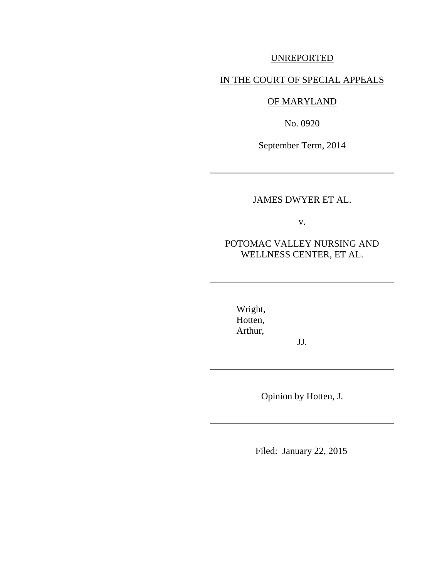### UNREPORTED

### IN THE COURT OF SPECIAL APPEALS

# OF MARYLAND

No. 0920

September Term, 2014

## JAMES DWYER ET AL.

v.

## POTOMAC VALLEY NURSING AND WELLNESS CENTER, ET AL.

Wright, Hotten, Arthur,

JJ.

Opinion by Hotten, J.

Filed: January 22, 2015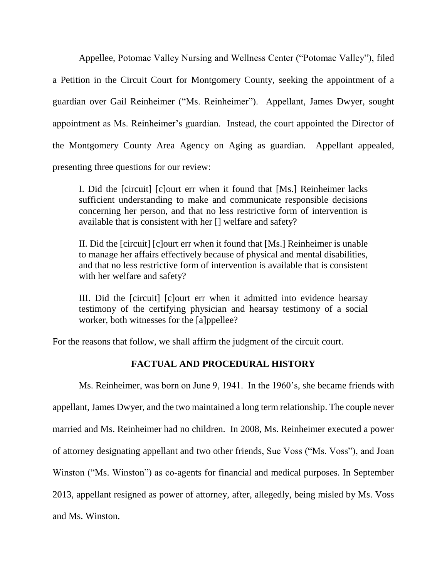Appellee, Potomac Valley Nursing and Wellness Center ("Potomac Valley"), filed a Petition in the Circuit Court for Montgomery County, seeking the appointment of a guardian over Gail Reinheimer ("Ms. Reinheimer"). Appellant, James Dwyer, sought appointment as Ms. Reinheimer's guardian. Instead, the court appointed the Director of the Montgomery County Area Agency on Aging as guardian. Appellant appealed, presenting three questions for our review:

I. Did the [circuit] [c]ourt err when it found that [Ms.] Reinheimer lacks sufficient understanding to make and communicate responsible decisions concerning her person, and that no less restrictive form of intervention is available that is consistent with her [] welfare and safety?

II. Did the [circuit] [c]ourt err when it found that [Ms.] Reinheimer is unable to manage her affairs effectively because of physical and mental disabilities, and that no less restrictive form of intervention is available that is consistent with her welfare and safety?

III. Did the [circuit] [c]ourt err when it admitted into evidence hearsay testimony of the certifying physician and hearsay testimony of a social worker, both witnesses for the [a]ppellee?

For the reasons that follow, we shall affirm the judgment of the circuit court.

### **FACTUAL AND PROCEDURAL HISTORY**

Ms. Reinheimer, was born on June 9, 1941. In the 1960's, she became friends with appellant, James Dwyer, and the two maintained a long term relationship. The couple never married and Ms. Reinheimer had no children. In 2008, Ms. Reinheimer executed a power of attorney designating appellant and two other friends, Sue Voss ("Ms. Voss"), and Joan Winston ("Ms. Winston") as co-agents for financial and medical purposes. In September 2013, appellant resigned as power of attorney, after, allegedly, being misled by Ms. Voss and Ms. Winston.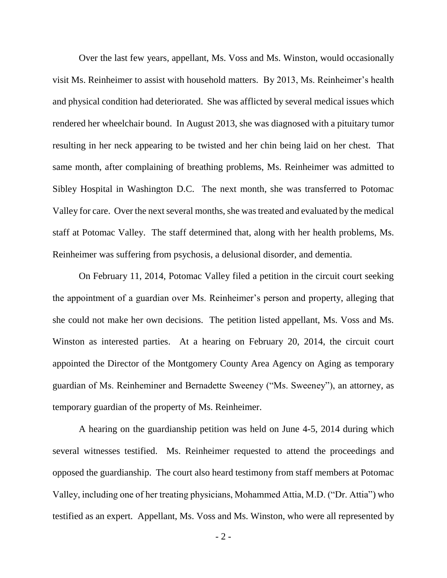Over the last few years, appellant, Ms. Voss and Ms. Winston, would occasionally visit Ms. Reinheimer to assist with household matters. By 2013, Ms. Reinheimer's health and physical condition had deteriorated. She was afflicted by several medical issues which rendered her wheelchair bound. In August 2013, she was diagnosed with a pituitary tumor resulting in her neck appearing to be twisted and her chin being laid on her chest. That same month, after complaining of breathing problems, Ms. Reinheimer was admitted to Sibley Hospital in Washington D.C. The next month, she was transferred to Potomac Valley for care. Over the next several months, she was treated and evaluated by the medical staff at Potomac Valley. The staff determined that, along with her health problems, Ms. Reinheimer was suffering from psychosis, a delusional disorder, and dementia.

On February 11, 2014, Potomac Valley filed a petition in the circuit court seeking the appointment of a guardian over Ms. Reinheimer's person and property, alleging that she could not make her own decisions. The petition listed appellant, Ms. Voss and Ms. Winston as interested parties. At a hearing on February 20, 2014, the circuit court appointed the Director of the Montgomery County Area Agency on Aging as temporary guardian of Ms. Reinheminer and Bernadette Sweeney ("Ms. Sweeney"), an attorney, as temporary guardian of the property of Ms. Reinheimer.

A hearing on the guardianship petition was held on June 4-5, 2014 during which several witnesses testified. Ms. Reinheimer requested to attend the proceedings and opposed the guardianship. The court also heard testimony from staff members at Potomac Valley, including one of her treating physicians, Mohammed Attia, M.D. ("Dr. Attia") who testified as an expert. Appellant, Ms. Voss and Ms. Winston, who were all represented by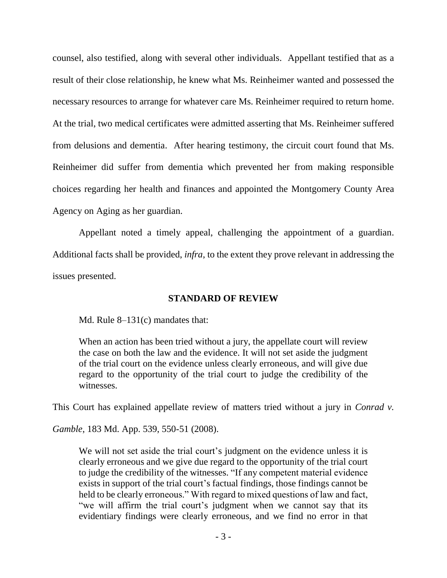counsel, also testified, along with several other individuals. Appellant testified that as a result of their close relationship, he knew what Ms. Reinheimer wanted and possessed the necessary resources to arrange for whatever care Ms. Reinheimer required to return home. At the trial, two medical certificates were admitted asserting that Ms. Reinheimer suffered from delusions and dementia. After hearing testimony, the circuit court found that Ms. Reinheimer did suffer from dementia which prevented her from making responsible choices regarding her health and finances and appointed the Montgomery County Area Agency on Aging as her guardian.

Appellant noted a timely appeal, challenging the appointment of a guardian. Additional facts shall be provided, *infra*, to the extent they prove relevant in addressing the issues presented.

### **STANDARD OF REVIEW**

Md. Rule 8–131(c) mandates that:

When an action has been tried without a jury, the appellate court will review the case on both the law and the evidence. It will not set aside the judgment of the trial court on the evidence unless clearly erroneous, and will give due regard to the opportunity of the trial court to judge the credibility of the witnesses.

This Court has explained appellate review of matters tried without a jury in *Conrad v.* 

*Gamble*, 183 Md. App. 539, 550-51 (2008).

We will not set aside the trial court's judgment on the evidence unless it is clearly erroneous and we give due regard to the opportunity of the trial court to judge the credibility of the witnesses. "If any competent material evidence exists in support of the trial court's factual findings, those findings cannot be held to be clearly erroneous." With regard to mixed questions of law and fact, "we will affirm the trial court's judgment when we cannot say that its evidentiary findings were clearly erroneous, and we find no error in that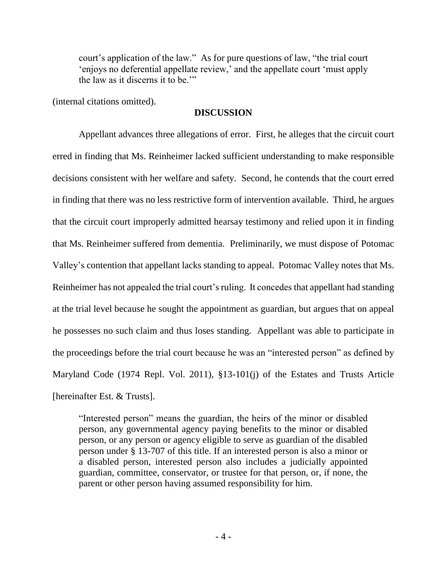court's application of the law." As for pure questions of law, "the trial court 'enjoys no deferential appellate review,' and the appellate court 'must apply the law as it discerns it to be.'"

(internal citations omitted).

#### **DISCUSSION**

Appellant advances three allegations of error. First, he alleges that the circuit court erred in finding that Ms. Reinheimer lacked sufficient understanding to make responsible decisions consistent with her welfare and safety. Second, he contends that the court erred in finding that there was no less restrictive form of intervention available. Third, he argues that the circuit court improperly admitted hearsay testimony and relied upon it in finding that Ms. Reinheimer suffered from dementia. Preliminarily, we must dispose of Potomac Valley's contention that appellant lacks standing to appeal. Potomac Valley notes that Ms. Reinheimer has not appealed the trial court's ruling. It concedes that appellant had standing at the trial level because he sought the appointment as guardian, but argues that on appeal he possesses no such claim and thus loses standing. Appellant was able to participate in the proceedings before the trial court because he was an "interested person" as defined by Maryland Code (1974 Repl. Vol. 2011), §13-101(j) of the Estates and Trusts Article [hereinafter Est. & Trusts].

"Interested person" means the guardian, the heirs of the minor or disabled person, any governmental agency paying benefits to the minor or disabled person, or any person or agency eligible to serve as guardian of the disabled person under § 13-707 of this title. If an interested person is also a minor or a disabled person, interested person also includes a judicially appointed guardian, committee, conservator, or trustee for that person, or, if none, the parent or other person having assumed responsibility for him.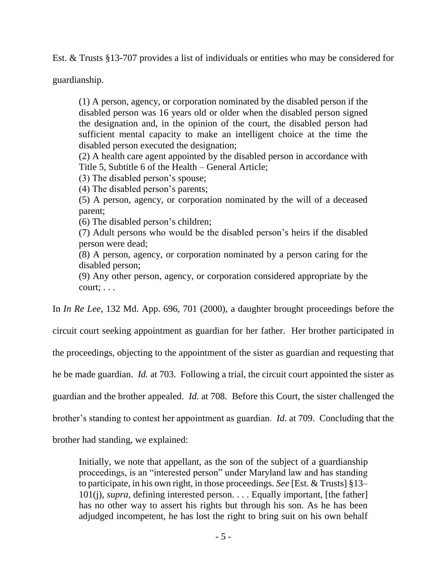Est. & Trusts §13-707 provides a list of individuals or entities who may be considered for

guardianship.

(1) A person, agency, or corporation nominated by the disabled person if the disabled person was 16 years old or older when the disabled person signed the designation and, in the opinion of the court, the disabled person had sufficient mental capacity to make an intelligent choice at the time the disabled person executed the designation;

(2) A health care agent appointed by the disabled person in accordance with Title 5, Subtitle 6 of the Health – General Article;

(3) The disabled person's spouse;

(4) The disabled person's parents;

(5) A person, agency, or corporation nominated by the will of a deceased parent;

(6) The disabled person's children;

(7) Adult persons who would be the disabled person's heirs if the disabled person were dead;

(8) A person, agency, or corporation nominated by a person caring for the disabled person;

(9) Any other person, agency, or corporation considered appropriate by the court; . . .

In *In Re Lee*, 132 Md. App. 696, 701 (2000), a daughter brought proceedings before the

circuit court seeking appointment as guardian for her father. Her brother participated in

the proceedings, objecting to the appointment of the sister as guardian and requesting that

he be made guardian. *Id.* at 703. Following a trial, the circuit court appointed the sister as

guardian and the brother appealed. *Id.* at 708. Before this Court, the sister challenged the

brother's standing to contest her appointment as guardian. *Id*. at 709. Concluding that the

brother had standing, we explained:

Initially, we note that appellant, as the son of the subject of a guardianship proceedings, is an "interested person" under Maryland law and has standing to participate, in his own right, in those proceedings. *See* [Est. & Trusts] §13– 101(j), *supra*, defining interested person. . . . Equally important, [the father] has no other way to assert his rights but through his son. As he has been adjudged incompetent, he has lost the right to bring suit on his own behalf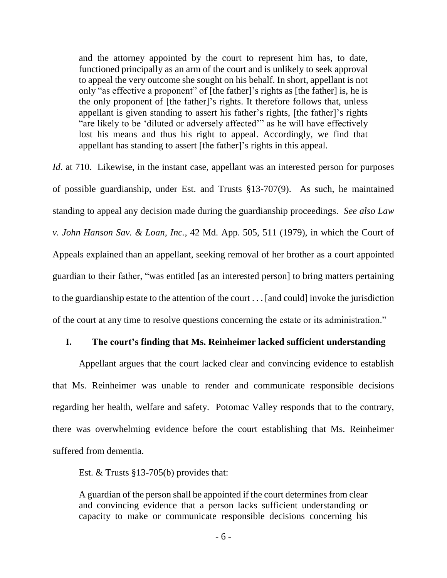and the attorney appointed by the court to represent him has, to date, functioned principally as an arm of the court and is unlikely to seek approval to appeal the very outcome she sought on his behalf. In short, appellant is not only "as effective a proponent" of [the father]'s rights as [the father] is, he is the only proponent of [the father]'s rights. It therefore follows that, unless appellant is given standing to assert his father's rights, [the father]'s rights "are likely to be 'diluted or adversely affected'" as he will have effectively lost his means and thus his right to appeal. Accordingly, we find that appellant has standing to assert [the father]'s rights in this appeal.

*Id.* at 710. Likewise, in the instant case, appellant was an interested person for purposes of possible guardianship, under Est. and Trusts §13-707(9). As such, he maintained standing to appeal any decision made during the guardianship proceedings. *See also Law v. John Hanson Sav. & Loan, Inc.*, 42 Md. App. 505, 511 (1979), in which the Court of Appeals explained than an appellant, seeking removal of her brother as a court appointed guardian to their father, "was entitled [as an interested person] to bring matters pertaining to the guardianship estate to the attention of the court . . . [and could] invoke the jurisdiction of the court at any time to resolve questions concerning the estate or its administration."

#### **I. The court's finding that Ms. Reinheimer lacked sufficient understanding**

Appellant argues that the court lacked clear and convincing evidence to establish that Ms. Reinheimer was unable to render and communicate responsible decisions regarding her health, welfare and safety. Potomac Valley responds that to the contrary, there was overwhelming evidence before the court establishing that Ms. Reinheimer suffered from dementia.

Est. & Trusts §13-705(b) provides that:

A guardian of the person shall be appointed if the court determines from clear and convincing evidence that a person lacks sufficient understanding or capacity to make or communicate responsible decisions concerning his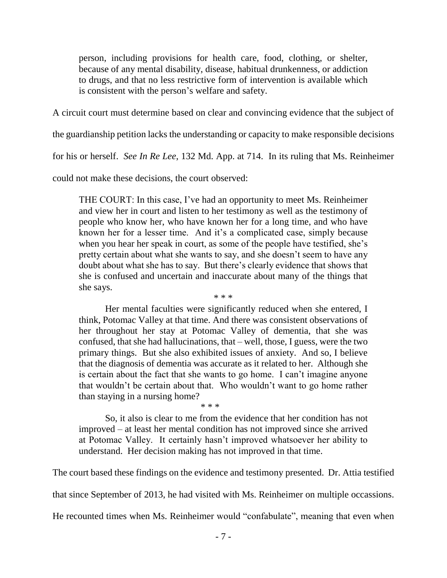person, including provisions for health care, food, clothing, or shelter, because of any mental disability, disease, habitual drunkenness, or addiction to drugs, and that no less restrictive form of intervention is available which is consistent with the person's welfare and safety.

A circuit court must determine based on clear and convincing evidence that the subject of

the guardianship petition lacks the understanding or capacity to make responsible decisions

for his or herself. *See In Re Lee*, 132 Md. App. at 714. In its ruling that Ms. Reinheimer

could not make these decisions, the court observed:

THE COURT: In this case, I've had an opportunity to meet Ms. Reinheimer and view her in court and listen to her testimony as well as the testimony of people who know her, who have known her for a long time, and who have known her for a lesser time. And it's a complicated case, simply because when you hear her speak in court, as some of the people have testified, she's pretty certain about what she wants to say, and she doesn't seem to have any doubt about what she has to say. But there's clearly evidence that shows that she is confused and uncertain and inaccurate about many of the things that she says. \* \* \*

Her mental faculties were significantly reduced when she entered, I think, Potomac Valley at that time. And there was consistent observations of her throughout her stay at Potomac Valley of dementia, that she was confused, that she had hallucinations, that – well, those, I guess, were the two primary things. But she also exhibited issues of anxiety. And so, I believe that the diagnosis of dementia was accurate as it related to her. Although she is certain about the fact that she wants to go home. I can't imagine anyone that wouldn't be certain about that. Who wouldn't want to go home rather than staying in a nursing home?

\* \* \*

So, it also is clear to me from the evidence that her condition has not improved – at least her mental condition has not improved since she arrived at Potomac Valley. It certainly hasn't improved whatsoever her ability to understand. Her decision making has not improved in that time.

The court based these findings on the evidence and testimony presented. Dr. Attia testified

that since September of 2013, he had visited with Ms. Reinheimer on multiple occassions.

He recounted times when Ms. Reinheimer would "confabulate", meaning that even when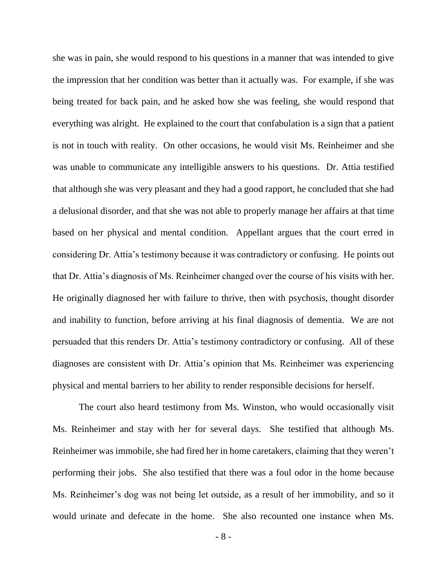she was in pain, she would respond to his questions in a manner that was intended to give the impression that her condition was better than it actually was. For example, if she was being treated for back pain, and he asked how she was feeling, she would respond that everything was alright. He explained to the court that confabulation is a sign that a patient is not in touch with reality. On other occasions, he would visit Ms. Reinheimer and she was unable to communicate any intelligible answers to his questions. Dr. Attia testified that although she was very pleasant and they had a good rapport, he concluded that she had a delusional disorder, and that she was not able to properly manage her affairs at that time based on her physical and mental condition. Appellant argues that the court erred in considering Dr. Attia's testimony because it was contradictory or confusing. He points out that Dr. Attia's diagnosis of Ms. Reinheimer changed over the course of his visits with her. He originally diagnosed her with failure to thrive, then with psychosis, thought disorder and inability to function, before arriving at his final diagnosis of dementia. We are not persuaded that this renders Dr. Attia's testimony contradictory or confusing. All of these diagnoses are consistent with Dr. Attia's opinion that Ms. Reinheimer was experiencing physical and mental barriers to her ability to render responsible decisions for herself.

The court also heard testimony from Ms. Winston, who would occasionally visit Ms. Reinheimer and stay with her for several days. She testified that although Ms. Reinheimer was immobile, she had fired her in home caretakers, claiming that they weren't performing their jobs. She also testified that there was a foul odor in the home because Ms. Reinheimer's dog was not being let outside, as a result of her immobility, and so it would urinate and defecate in the home. She also recounted one instance when Ms.

- 8 -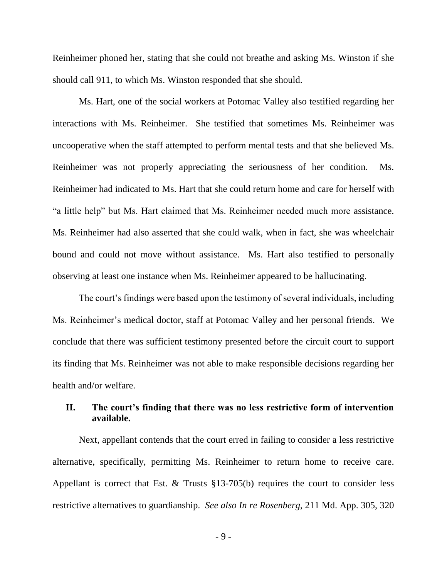Reinheimer phoned her, stating that she could not breathe and asking Ms. Winston if she should call 911, to which Ms. Winston responded that she should.

Ms. Hart, one of the social workers at Potomac Valley also testified regarding her interactions with Ms. Reinheimer. She testified that sometimes Ms. Reinheimer was uncooperative when the staff attempted to perform mental tests and that she believed Ms. Reinheimer was not properly appreciating the seriousness of her condition. Ms. Reinheimer had indicated to Ms. Hart that she could return home and care for herself with "a little help" but Ms. Hart claimed that Ms. Reinheimer needed much more assistance. Ms. Reinheimer had also asserted that she could walk, when in fact, she was wheelchair bound and could not move without assistance. Ms. Hart also testified to personally observing at least one instance when Ms. Reinheimer appeared to be hallucinating.

The court's findings were based upon the testimony of several individuals, including Ms. Reinheimer's medical doctor, staff at Potomac Valley and her personal friends. We conclude that there was sufficient testimony presented before the circuit court to support its finding that Ms. Reinheimer was not able to make responsible decisions regarding her health and/or welfare.

## **II. The court's finding that there was no less restrictive form of intervention available.**

Next, appellant contends that the court erred in failing to consider a less restrictive alternative, specifically, permitting Ms. Reinheimer to return home to receive care. Appellant is correct that Est. & Trusts §13-705(b) requires the court to consider less restrictive alternatives to guardianship. *See also In re Rosenberg*, 211 Md. App. 305, 320

- 9 -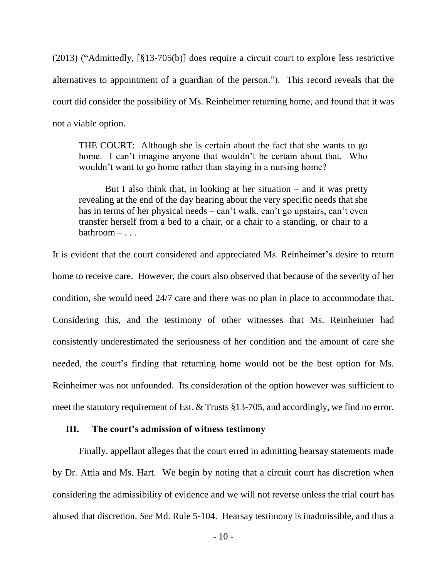(2013) ("Admittedly, [§13-705(b)] does require a circuit court to explore less restrictive alternatives to appointment of a guardian of the person."). This record reveals that the court did consider the possibility of Ms. Reinheimer returning home, and found that it was not a viable option.

THE COURT: Although she is certain about the fact that she wants to go home. I can't imagine anyone that wouldn't be certain about that. Who wouldn't want to go home rather than staying in a nursing home?

But I also think that, in looking at her situation  $-$  and it was pretty revealing at the end of the day hearing about the very specific needs that she has in terms of her physical needs – can't walk, can't go upstairs, can't even transfer herself from a bed to a chair, or a chair to a standing, or chair to a bathroom – . . .

It is evident that the court considered and appreciated Ms. Reinheimer's desire to return home to receive care. However, the court also observed that because of the severity of her condition, she would need 24/7 care and there was no plan in place to accommodate that. Considering this, and the testimony of other witnesses that Ms. Reinheimer had consistently underestimated the seriousness of her condition and the amount of care she needed, the court's finding that returning home would not be the best option for Ms. Reinheimer was not unfounded. Its consideration of the option however was sufficient to meet the statutory requirement of Est. & Trusts §13-705, and accordingly, we find no error.

#### **III. The court's admission of witness testimony**

Finally, appellant alleges that the court erred in admitting hearsay statements made by Dr. Attia and Ms. Hart. We begin by noting that a circuit court has discretion when considering the admissibility of evidence and we will not reverse unless the trial court has abused that discretion. *See* Md. Rule 5-104. Hearsay testimony is inadmissible, and thus a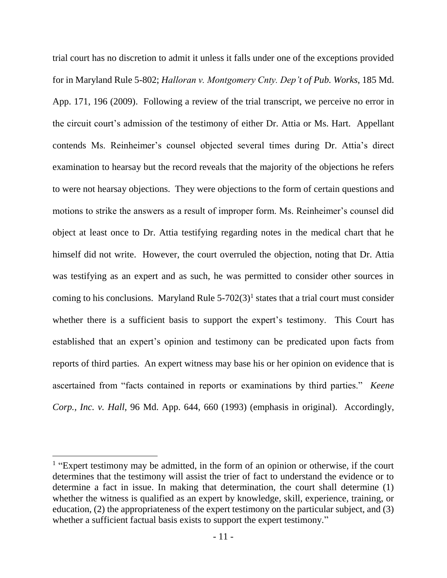trial court has no discretion to admit it unless it falls under one of the exceptions provided for in Maryland Rule 5-802; *Halloran v. Montgomery Cnty. Dep't of Pub. Works*, 185 Md. App. 171, 196 (2009). Following a review of the trial transcript, we perceive no error in the circuit court's admission of the testimony of either Dr. Attia or Ms. Hart. Appellant contends Ms. Reinheimer's counsel objected several times during Dr. Attia's direct examination to hearsay but the record reveals that the majority of the objections he refers to were not hearsay objections. They were objections to the form of certain questions and motions to strike the answers as a result of improper form. Ms. Reinheimer's counsel did object at least once to Dr. Attia testifying regarding notes in the medical chart that he himself did not write. However, the court overruled the objection, noting that Dr. Attia was testifying as an expert and as such, he was permitted to consider other sources in coming to his conclusions. Maryland Rule  $5-702(3)$ <sup>1</sup> states that a trial court must consider whether there is a sufficient basis to support the expert's testimony. This Court has established that an expert's opinion and testimony can be predicated upon facts from reports of third parties. An expert witness may base his or her opinion on evidence that is ascertained from "facts contained in reports or examinations by third parties." *Keene Corp., Inc. v. Hall*, 96 Md. App. 644, 660 (1993) (emphasis in original). Accordingly,

l

<sup>&</sup>lt;sup>1</sup> "Expert testimony may be admitted, in the form of an opinion or otherwise, if the court determines that the testimony will assist the trier of fact to understand the evidence or to determine a fact in issue. In making that determination, the court shall determine (1) whether the witness is qualified as an expert by knowledge, skill, experience, training, or education, (2) the appropriateness of the expert testimony on the particular subject, and (3) whether a sufficient factual basis exists to support the expert testimony."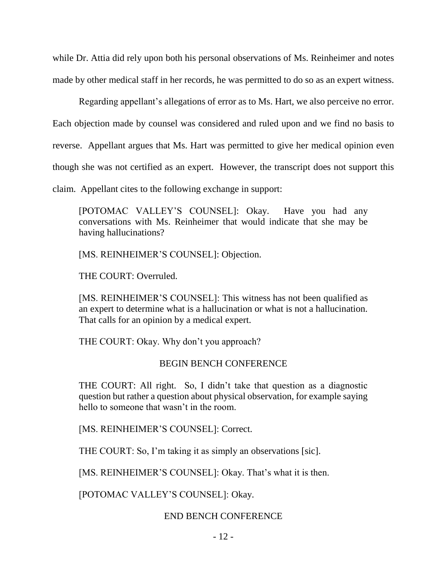while Dr. Attia did rely upon both his personal observations of Ms. Reinheimer and notes made by other medical staff in her records, he was permitted to do so as an expert witness.

Regarding appellant's allegations of error as to Ms. Hart, we also perceive no error. Each objection made by counsel was considered and ruled upon and we find no basis to reverse. Appellant argues that Ms. Hart was permitted to give her medical opinion even though she was not certified as an expert. However, the transcript does not support this claim. Appellant cites to the following exchange in support:

[POTOMAC VALLEY'S COUNSEL]: Okay. Have you had any conversations with Ms. Reinheimer that would indicate that she may be having hallucinations?

[MS. REINHEIMER'S COUNSEL]: Objection.

THE COURT: Overruled.

[MS. REINHEIMER'S COUNSEL]: This witness has not been qualified as an expert to determine what is a hallucination or what is not a hallucination. That calls for an opinion by a medical expert.

THE COURT: Okay. Why don't you approach?

#### BEGIN BENCH CONFERENCE

THE COURT: All right. So, I didn't take that question as a diagnostic question but rather a question about physical observation, for example saying hello to someone that wasn't in the room.

[MS. REINHEIMER'S COUNSEL]: Correct.

THE COURT: So, I'm taking it as simply an observations [sic].

[MS. REINHEIMER'S COUNSEL]: Okay. That's what it is then.

[POTOMAC VALLEY'S COUNSEL]: Okay.

### END BENCH CONFERENCE